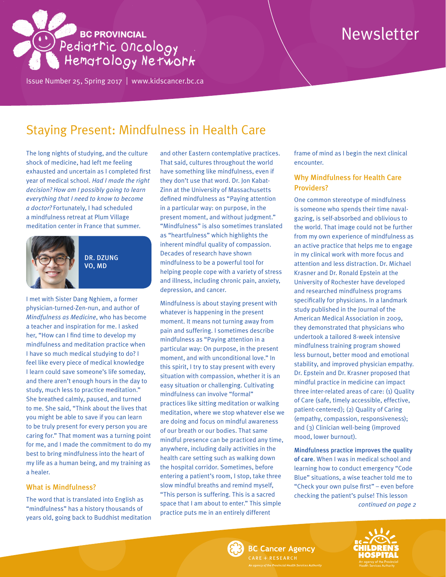# **BC PROVINCIAL** Pedigtric Oncology

Issue Number 25, Spring 2017 | <www.kidscancer.bc.ca>

# Newsletter

## Staying Present: Mindfulness in Health Care

The long nights of studying, and the culture shock of medicine, had left me feeling exhausted and uncertain as I completed first year of medical school. *Had I made the right decision? How am I possibly going to learn everything that I need to know to become a doctor?* Fortunately, I had scheduled a mindfulness retreat at Plum Village meditation center in France that summer.



DR. DZUNG VO, MD

I met with Sister Dang Nghiem, a former physician-turned-Zen-nun, and author of *Mindfulness as Medicine*, who has become a teacher and inspiration for me. I asked her, "How can I find time to develop my mindfulness and meditation practice when I have so much medical studying to do? I feel like every piece of medical knowledge I learn could save someone's life someday, and there aren't enough hours in the day to study, much less to practice meditation." She breathed calmly, paused, and turned to me. She said, "Think about the lives that you might be able to save if you can learn to be truly present for every person you are caring for." That moment was a turning point for me, and I made the commitment to do my best to bring mindfulness into the heart of my life as a human being, and my training as a healer.

#### What is Mindfulness?

The word that is translated into English as "mindfulness" has a history thousands of years old, going back to Buddhist meditation

and other Eastern contemplative practices. That said, cultures throughout the world have something like mindfulness, even if they don't use that word. Dr. Jon Kabat-Zinn at the University of Massachusetts defined mindfulness as "Paying attention in a particular way: on purpose, in the present moment, and without judgment." "Mindfulness" is also sometimes translated as "heartfulness" which highlights the inherent mindful quality of compassion. Decades of research have shown mindfulness to be a powerful tool for helping people cope with a variety of stress and illness, including chronic pain, anxiety, depression, and cancer.

Mindfulness is about staying present with whatever is happening in the present moment. It means not turning away from pain and suffering. I sometimes describe mindfulness as "Paying attention in a particular way: On purpose, in the present moment, and with unconditional love." In this spirit, I try to stay present with every situation with compassion, whether it is an easy situation or challenging. Cultivating mindfulness can involve "formal" practices like sitting meditation or walking meditation, where we stop whatever else we are doing and focus on mindful awareness of our breath or our bodies. That same mindful presence can be practiced any time, anywhere, including daily activities in the health care setting such as walking down the hospital corridor. Sometimes, before entering a patient's room, I stop, take three slow mindful breaths and remind myself, "This person is suffering. This is a sacred space that I am about to enter." This simple practice puts me in an entirely different

frame of mind as I begin the next clinical encounter.

#### Why Mindfulness for Health Care Providers?

One common stereotype of mindfulness is someone who spends their time navalgazing, is self-absorbed and oblivious to the world. That image could not be further from my own experience of mindfulness as an active practice that helps me to engage in my clinical work with more focus and attention and less distraction. Dr. Michael Krasner and Dr. Ronald Epstein at the University of Rochester have developed and researched mindfulness programs specifically for physicians. In a landmark study published in the Journal of the American Medical Association in 2009, they demonstrated that physicians who undertook a tailored 8-week intensive mindfulness training program showed less burnout, better mood and emotional stability, and improved physician empathy. Dr. Epstein and Dr. Krasner proposed that mindful practice in medicine can impact three inter-related areas of care: (1) Quality of Care (safe, timely accessible, effective, patient-centered); (2) Quality of Caring (empathy, compassion, responsiveness); and (3) Clinician well-being (improved mood, lower burnout).

Mindfulness practice improves the quality of care. When I was in medical school and learning how to conduct emergency "Code Blue" situations, a wise teacher told me to "Check your own pulse first" – even before checking the patient's pulse! This lesson *continued on page 2*



**BC Cancer Agency** ARE + RESEARCH

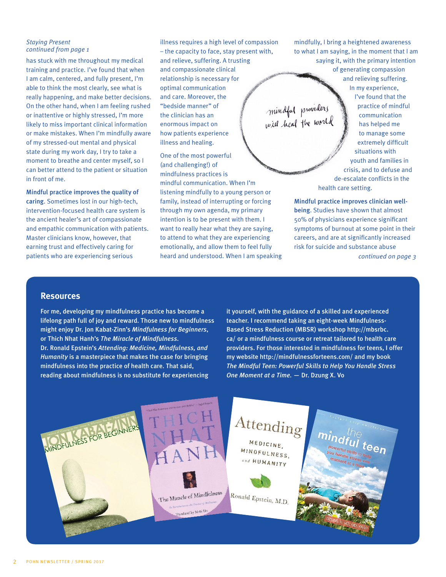#### *Staying Present continued from page 1*

has stuck with me throughout my medical training and practice. I've found that when I am calm, centered, and fully present, I'm able to think the most clearly, see what is really happening, and make better decisions. On the other hand, when I am feeling rushed or inattentive or highly stressed, I'm more likely to miss important clinical information or make mistakes. When I'm mindfully aware of my stressed-out mental and physical state during my work day, I try to take a moment to breathe and center myself, so I can better attend to the patient or situation in front of me.

Mindful practice improves the quality of caring. Sometimes lost in our high-tech, intervention-focused health care system is the ancient healer's art of compassionate and empathic communication with patients. Master clinicians know, however, that earning trust and effectively caring for patients who are experiencing serious

illness requires a high level of compassion – the capacity to face, stay present with, and relieve, suffering. A trusting and compassionate clinical relationship is necessary for optimal communication and care. Moreover, the mindful providers<br>will heal the world "bedside manner" of the clinician has an enormous impact on how patients experience illness and healing.

One of the most powerful (and challenging!) of mindfulness practices is mindful communication. When I'm listening mindfully to a young person or family, instead of interrupting or forcing through my own agenda, my primary intention is to be present with them. I want to really hear what they are saying, to attend to what they are experiencing emotionally, and allow them to feel fully heard and understood. When I am speaking mindfully, I bring a heightened awareness to what I am saying, in the moment that I am saying it, with the primary intention

of generating compassion and relieving suffering. In my experience, I've found that the practice of mindful communication has helped me to manage some extremely difficult situations with youth and families in crisis, and to defuse and de-escalate conflicts in the health care setting.

Mindful practice improves clinician wellbeing. Studies have shown that almost 50% of physicians experience significant symptoms of burnout at some point in their careers, and are at significantly increased risk for suicide and substance abuse *continued on page 3*

#### **Resources**

For me, developing my mindfulness practice has become a lifelong path full of joy and reward. Those new to mindfulness might enjoy Dr. Jon Kabat-Zinn's *Mindfulness for Beginners*, or Thich Nhat Hanh's *The Miracle of Mindfulness*. Dr. Ronald Epstein's *Attending: Medicine, Mindfulness, and Humanity* is a masterpiece that makes the case for bringing mindfulness into the practice of health care. That said, reading about mindfulness is no substitute for experiencing

it yourself, with the guidance of a skilled and experienced teacher. I recommend taking an eight-week Mindfulness-Based Stress Reduction (MBSR) workshop http://mbsrbc. ca/ or a mindfulness course or retreat tailored to health care providers. For those interested in mindfulness for teens, I offer my website http://mindfulnessforteens.com/ and my book *The Mindful Teen: Powerful Skills to Help You Handle Stress One Moment at a Time. —* Dr. Dzung X. Vo

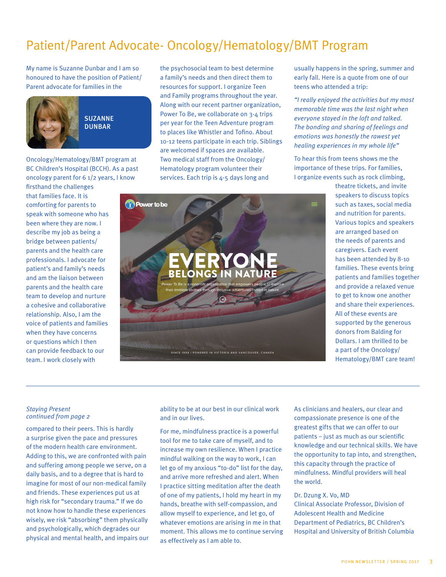## Patient/Parent Advocate- Oncology/Hematology/BMT Program

My name is Suzanne Dunbar and I am so honoured to have the position of Patient/ Parent advocate for families in the



**SUZANNE DUNBAR** 

Oncology/Hematology/BMT program at BC Children's Hospital (BCCH). As a past oncology parent for 6 1/2 years, I know

firsthand the challenges that families face. It is comforting for parents to speak with someone who has been where they are now. I describe my job as being a bridge between patients/ parents and the health care professionals. I advocate for patient's and family's needs and am the liaison between parents and the health care team to develop and nurture a cohesive and collaborative relationship. Also, I am the voice of patients and families when they have concerns or questions which I then can provide feedback to our team. I work closely with

the psychosocial team to best determine a family's needs and then direct them to resources for support. I organize Teen and Family programs throughout the year. Along with our recent partner organization, Power To Be, we collaborate on 3-4 trips per year for the Teen Adventure program to places like Whistler and Tofino. About 10-12 teens participate in each trip. Siblings are welcomed if spaces are available. Two medical staff from the Oncology/ Hematology program volunteer their services. Each trip is 4-5 days long and

usually happens in the spring, summer and early fall. Here is a quote from one of our teens who attended a trip:

*"I really enjoyed the activities but my most memorable time was the last night when everyone stayed in the loft and talked. The bonding and sharing of feelings and emotions was honestly the rawest yet healing experiences in my whole life"*

To hear this from teens shows me the importance of these trips. For families, I organize events such as rock climbing,

> theatre tickets, and invite speakers to discuss topics such as taxes, social media and nutrition for parents. Various topics and speakers are arranged based on the needs of parents and caregivers. Each event has been attended by 8-10 families. These events bring patients and families together and provide a relaxed venue to get to know one another and share their experiences. All of these events are supported by the generous donors from Balding for Dollars. I am thrilled to be a part of the Oncology/ Hematology/BMT care team!

# **D** Power to be **BELONGS** SINCE 1998 | POWERED IN VICTORIA AND VANCOUVER, CANADA

*Staying Present continued from page 2*

compared to their peers. This is hardly a surprise given the pace and pressures of the modern health care environment. Adding to this, we are confronted with pain and suffering among people we serve, on a daily basis, and to a degree that is hard to imagine for most of our non-medical family and friends. These experiences put us at high risk for "secondary trauma." If we do not know how to handle these experiences wisely, we risk "absorbing" them physically and psychologically, which degrades our physical and mental health, and impairs our ability to be at our best in our clinical work and in our lives.

For me, mindfulness practice is a powerful tool for me to take care of myself, and to increase my own resilience. When I practice mindful walking on the way to work, I can let go of my anxious "to-do" list for the day, and arrive more refreshed and alert. When I practice sitting meditation after the death of one of my patients, I hold my heart in my hands, breathe with self-compassion, and allow myself to experience, and let go, of whatever emotions are arising in me in that moment. This allows me to continue serving as effectively as I am able to.

As clinicians and healers, our clear and compassionate presence is one of the greatest gifts that we can offer to our patients – just as much as our scientific knowledge and our technical skills. We have the opportunity to tap into, and strengthen, this capacity through the practice of mindfulness. Mindful providers will heal the world.

#### Dr. Dzung X. Vo, MD

Clinical Associate Professor, Division of Adolescent Health and Medicine Department of Pediatrics, BC Children's Hospital and University of British Columbia